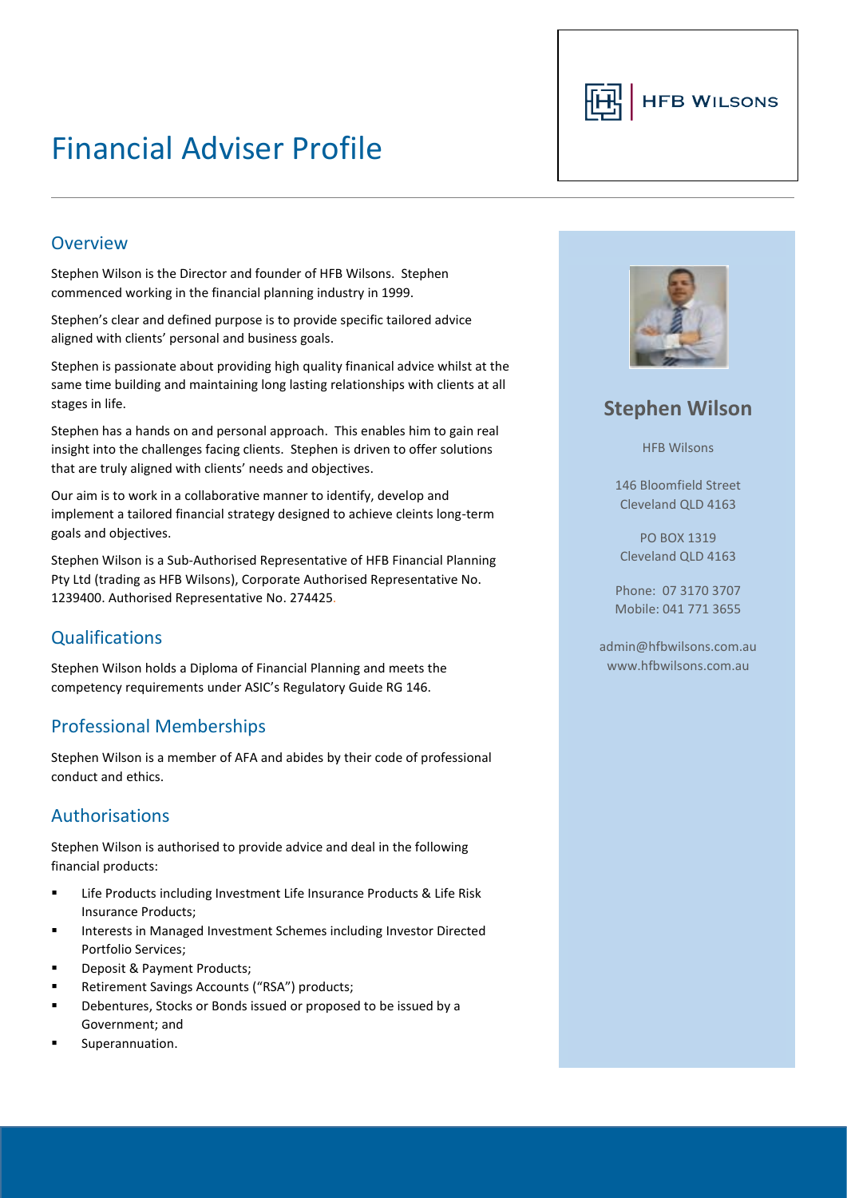# Financial Adviser Profile



#### Overview

Stephen Wilson is the Director and founder of HFB Wilsons. Stephen commenced working in the financial planning industry in 1999.

Stephen's clear and defined purpose is to provide specific tailored advice aligned with clients' personal and business goals.

Stephen is passionate about providing high quality finanical advice whilst at the same time building and maintaining long lasting relationships with clients at all stages in life.

Stephen has a hands on and personal approach. This enables him to gain real insight into the challenges facing clients. Stephen is driven to offer solutions that are truly aligned with clients' needs and objectives.

Our aim is to work in a collaborative manner to identify, develop and implement a tailored financial strategy designed to achieve cleints long-term goals and objectives.

Stephen Wilson is a Sub-Authorised Representative of HFB Financial Planning Pty Ltd (trading as HFB Wilsons), Corporate Authorised Representative No. 1239400. Authorised Representative No. 274425.

### **Qualifications**

Stephen Wilson holds a Diploma of Financial Planning and meets the competency requirements under ASIC's Regulatory Guide RG 146.

### Professional Memberships

Stephen Wilson is a member of AFA and abides by their code of professional conduct and ethics.

#### Authorisations

Stephen Wilson is authorised to provide advice and deal in the following financial products:

- Life Products including Investment Life Insurance Products & Life Risk Insurance Products;
- Interests in Managed Investment Schemes including Investor Directed Portfolio Services;
- Deposit & Payment Products;
- Retirement Savings Accounts ("RSA") products;
- Debentures, Stocks or Bonds issued or proposed to be issued by a Government; and
- Superannuation.



# **Stephen Wilson**

HFB Wilsons

146 Bloomfield Street Cleveland QLD 4163

PO BOX 1319 Cleveland QLD 4163

Phone: 07 3170 3707 Mobile: 041 771 3655

admin@hfbwilsons.com.au www.hfbwilsons.com.au